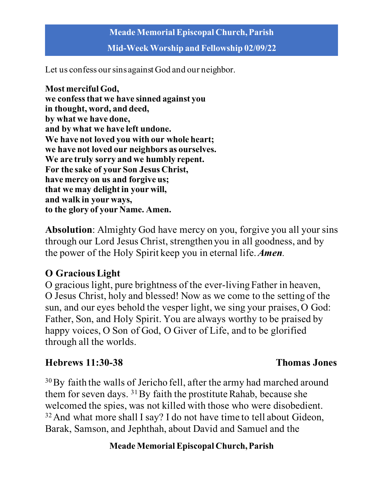**Mid-Week Worship and Fellowship 02/09/22**

Let us confess our sins against God and our neighbor.

**Most merciful God, we confess that we have sinned against you in thought, word, and deed, by what we have done, and by what we have left undone. We have not loved you with our whole heart; we have not loved our neighbors as ourselves. We are truly sorry and we humbly repent. For the sake of your Son Jesus Christ, have mercy on us and forgive us; that we may delight in your will, and walk in your ways, to the glory of your Name. Amen.**

**Absolution**: Almighty God have mercy on you, forgive you all your sins through our Lord Jesus Christ, strengthen you in all goodness, and by the power of the Holy Spirit keep you in eternal life. *Amen.*

# **O GraciousLight**

O gracious light, pure brightness of the ever-living Father in heaven, O Jesus Christ, holy and blessed! Now as we come to the setting of the sun, and our eyes behold the vesper light, we sing your praises, O God: Father, Son, and Holy Spirit. You are always worthy to be praised by happy voices, O Son of God, O Giver of Life, and to be glorified through all the worlds.

# **Hebrews 11:30-38 Thomas Jones**

<sup>30</sup>By faith the walls of Jericho fell, after the army had marched around them for seven days. <sup>31</sup>By faith the prostitute Rahab, because she welcomed the spies, was not killed with those who were disobedient. <sup>32</sup> And what more shall I say? I do not have time to tell about Gideon, Barak, Samson, and Jephthah, about David and Samuel and the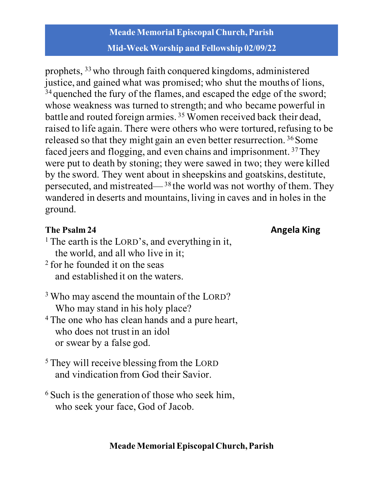# **Meade Memorial Episcopal Church, Parish Mid-Week Worship and Fellowship 02/09/22**

prophets, 33who through faith conquered kingdoms, administered justice, and gained what was promised; who shut the mouths of lions, <sup>34</sup> quenched the fury of the flames, and escaped the edge of the sword; whose weakness was turned to strength; and who became powerful in battle and routed foreign armies. 35 Women received back their dead, raised to life again. There were others who were tortured, refusing to be released so that they might gain an even better resurrection.<sup>36</sup> Some faced jeers and flogging, and even chains and imprisonment. 37They were put to death by stoning; they were sawed in two; they were killed by the sword. They went about in sheepskins and goatskins, destitute, persecuted, and mistreated—38 the world was not worthy of them. They wandered in deserts and mountains, living in caves and in holes in the ground.

# **The Psalm 24 Angela King**

- <sup>1</sup> The earth is the LORD's, and everything in it, the world, and all who live in it;
- <sup>2</sup> for he founded it on the seas and established it on the waters.
- <sup>3</sup> Who may ascend the mountain of the LORD? Who may stand in his holy place?
- <sup>4</sup> The one who has clean hands and a pure heart, who does not trust in an idol or swear by a false god.
- <sup>5</sup> They will receive blessing from the LORD and vindication from God their Savior.
- <sup>6</sup> Such is the generation of those who seek him, who seek your face, God of Jacob.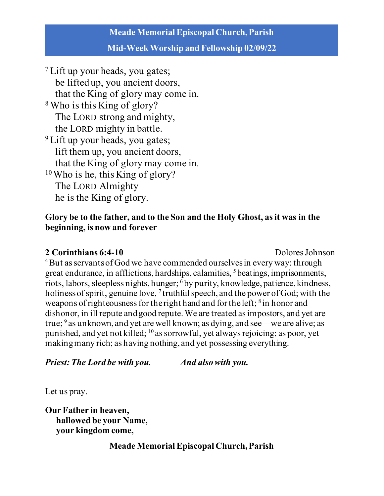#### **Mid-Week Worship and Fellowship 02/09/22**

<sup>7</sup> Lift up your heads, you gates; be lifted up, you ancient doors, that the King of glory may come in. <sup>8</sup> Who is this King of glory? The LORD strong and mighty, the LORD mighty in battle. <sup>9</sup> Lift up your heads, you gates; lift them up, you ancient doors, that the King of glory may come in. 10Who is he, this King of glory? The LORD Almighty he is the King of glory.

#### **Glory be to the father, and to the Son and the Holy Ghost, as it was in the beginning, is now and forever**

#### **2 Corinthians 6:4-10 Dolores** Johnson

<sup>4</sup>But as servants of God we have commended ourselves in every way: through great endurance, in afflictions, hardships, calamities, 5 beatings, imprisonments, riots, labors, sleepless nights, hunger; 6 by purity, knowledge, patience, kindness, holiness of spirit, genuine love,  $\frac{7}{7}$  truthful speech, and the power of God; with the weapons of righteousness for the right hand and for the left; <sup>8</sup> in honor and dishonor, in ill repute and good repute. We are treated as impostors, and yet are true;  $9$  as unknown, and yet are well known; as dying, and see—we are alive; as punished, and yet not killed; 10 as sorrowful, yet always rejoicing; as poor, yet making many rich; as having nothing, and yet possessing everything.

*Priest: The Lord be with you. And also with you.*

Let us pray.

**Our Father in heaven, hallowed be your Name, your kingdom come,**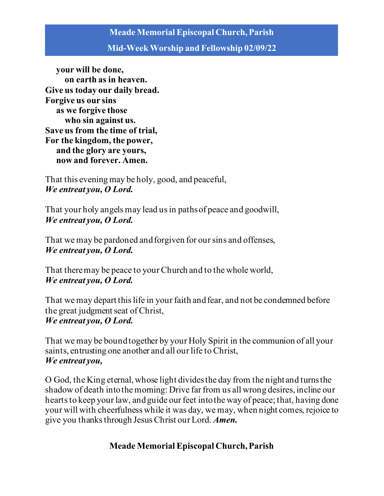#### **Mid-Week Worship and Fellowship 02/09/22**

 **your will be done, on earth as in heaven. Give us today our daily bread. Forgive us our sins as we forgive those who sin against us. Save us from the time of trial, For the kingdom, the power, and the glory are yours, now and forever. Amen.**

That this evening may be holy, good, and peaceful, *We entreat you, O Lord.*

That your holy angels may lead us in paths of peace and goodwill, *We entreat you, O Lord.* 

That we may be pardoned and forgiven for our sins and offenses, *We entreat you, O Lord.* 

That there may be peace to your Church and to the whole world, *We entreat you, O Lord.* 

That we may depart this life in your faith and fear, and not be condemned before the great judgment seat of Christ, *We entreat you, O Lord.* 

That we may be bound together by your Holy Spirit in the communion of all your saints, entrusting one another and all our life to Christ, *We entreat you,* 

O God, the King eternal, whose light divides the day from the night and turns the shadow of death into the morning: Drive far from us all wrong desires, incline our hearts to keep your law, and guide our feet into the way of peace; that, having done your will with cheerfulness while it was day, we may, when night comes, rejoice to give you thanks through JesusChrist our Lord. *Amen.*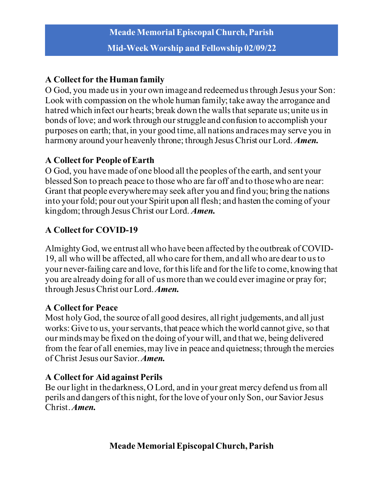# **A Collect for the Human family**

O God, you made us in your own image and redeemed us through Jesus your Son: Look with compassion on the whole human family; take away the arrogance and hatred which infect our hearts; break down the walls that separate us; unite us in bonds of love; and work through our struggle and confusion to accomplish your purposes on earth; that, in your good time, all nations and races may serve you in harmony around your heavenly throne; through Jesus Christ our Lord. *Amen.*

# **A Collect for People of Earth**

O God, you have made of one blood all the peoples of the earth, and sent your blessed Son to preach peace to those who are far off and to those who are near: Grant that people everywhere may seek after you and find you; bring the nations into your fold; pour out your Spirit upon all flesh; and hasten the coming of your kingdom; through Jesus Christ our Lord. *Amen.*

# **A Collect for COVID-19**

Almighty God, we entrust all who have been affected by the outbreak of COVID-19, all who will be affected, all who care for them, and all who are dear to us to your never-failing care and love, for this life and for the life to come, knowing that you are already doing for all of us more than we could ever imagine or pray for; through Jesus Christ our Lord. *Amen.*

## **A Collect for Peace**

Most holy God, the source of all good desires, all right judgements, and all just works: Give to us, your servants, that peace which the world cannot give, so that our minds may be fixed on the doing of your will, and that we, being delivered from the fear of all enemies, may live in peace and quietness; through the mercies of Christ Jesus our Savior. *Amen.*

## **A Collect for Aid against Perils**

Be our light in the darkness, O Lord, and in your great mercy defend us from all perils and dangers of this night, for the love of your only Son, our Savior Jesus Christ. *Amen.*